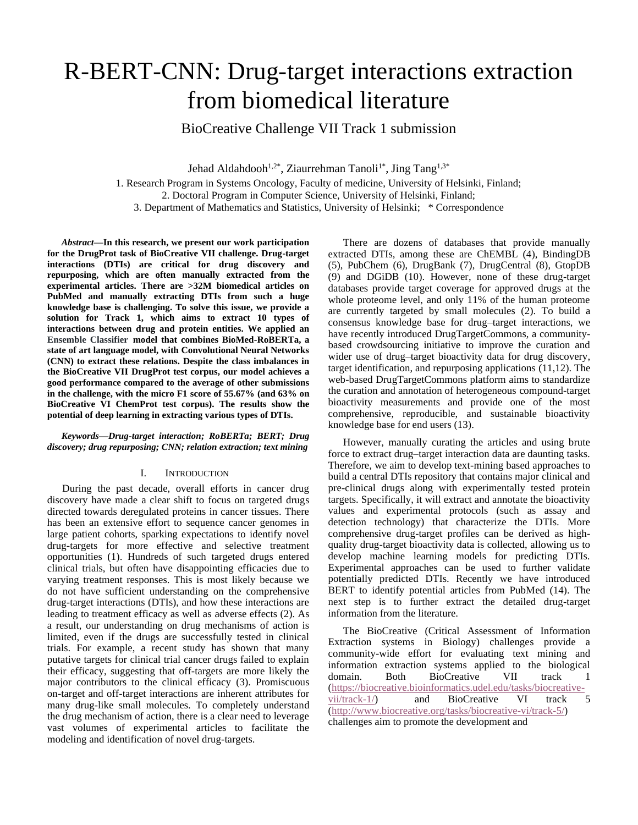# R-BERT-CNN: Drug-target interactions extraction from biomedical literature

BioCreative Challenge VII Track 1 submission

Jehad Aldahdooh<sup>1,2\*</sup>, Ziaurrehman Tanoli<sup>1\*</sup>, Jing Tang<sup>1,3\*</sup>

1. Research Program in Systems Oncology, Faculty of medicine, University of Helsinki, Finland;

2. Doctoral Program in Computer Science, University of Helsinki, Finland;

3. Department of Mathematics and Statistics, University of Helsinki; \* Correspondence

*Abstract***—In this research, we present our work participation for the DrugProt task of BioCreative VII challenge. Drug-target interactions (DTIs) are critical for drug discovery and repurposing, which are often manually extracted from the experimental articles. There are >32M biomedical articles on PubMed and manually extracting DTIs from such a huge knowledge base is challenging. To solve this issue, we provide a solution for Track 1, which aims to extract 10 types of interactions between drug and protein entities. We applied an Ensemble Classifier model that combines BioMed-RoBERTa, a state of art language model, with Convolutional Neural Networks (CNN) to extract these relations. Despite the class imbalances in the BioCreative VII DrugProt test corpus, our model achieves a good performance compared to the average of other submissions in the challenge, with the micro F1 score of 55.67% (and 63% on BioCreative VI ChemProt test corpus). The results show the potential of deep learning in extracting various types of DTIs.**

*Keywords—Drug-target interaction; RoBERTa; BERT; Drug discovery; drug repurposing; CNN; relation extraction; text mining*

## I. INTRODUCTION

During the past decade, overall efforts in cancer drug discovery have made a clear shift to focus on targeted drugs directed towards deregulated proteins in cancer tissues. There has been an extensive effort to sequence cancer genomes in large patient cohorts, sparking expectations to identify novel drug-targets for more effective and selective treatment opportunities (1). Hundreds of such targeted drugs entered clinical trials, but often have disappointing efficacies due to varying treatment responses. This is most likely because we do not have sufficient understanding on the comprehensive drug-target interactions (DTIs), and how these interactions are leading to treatment efficacy as well as adverse effects (2). As a result, our understanding on drug mechanisms of action is limited, even if the drugs are successfully tested in clinical trials. For example, a recent study has shown that many putative targets for clinical trial cancer drugs failed to explain their efficacy, suggesting that off-targets are more likely the major contributors to the clinical efficacy (3). Promiscuous on-target and off-target interactions are inherent attributes for many drug-like small molecules. To completely understand the drug mechanism of action, there is a clear need to leverage vast volumes of experimental articles to facilitate the modeling and identification of novel drug-targets.

There are dozens of databases that provide manually extracted DTIs, among these are ChEMBL (4), BindingDB (5), PubChem (6), DrugBank (7), DrugCentral (8), GtopDB (9) and DGiDB (10). However, none of these drug-target databases provide target coverage for approved drugs at the whole proteome level, and only 11% of the human proteome are currently targeted by small molecules (2). To build a consensus knowledge base for drug–target interactions, we have recently introduced DrugTargetCommons, a communitybased crowdsourcing initiative to improve the curation and wider use of drug–target bioactivity data for drug discovery, target identification, and repurposing applications (11,12). The web-based DrugTargetCommons platform aims to standardize the curation and annotation of heterogeneous compound-target bioactivity measurements and provide one of the most comprehensive, reproducible, and sustainable bioactivity knowledge base for end users (13).

However, manually curating the articles and using brute force to extract drug–target interaction data are daunting tasks. Therefore, we aim to develop text-mining based approaches to build a central DTIs repository that contains major clinical and pre-clinical drugs along with experimentally tested protein targets. Specifically, it will extract and annotate the bioactivity values and experimental protocols (such as assay and detection technology) that characterize the DTIs. More comprehensive drug-target profiles can be derived as highquality drug-target bioactivity data is collected, allowing us to develop machine learning models for predicting DTIs. Experimental approaches can be used to further validate potentially predicted DTIs. Recently we have introduced BERT to identify potential articles from PubMed (14). The next step is to further extract the detailed drug-target information from the literature.

The BioCreative (Critical Assessment of Information Extraction systems in Biology) challenges provide a community-wide effort for evaluating text mining and information extraction systems applied to the biological domain. Both BioCreative VII track 1  $(\text{https://biocreative.bioinformatics.udel.edu/tasks/biocreative-vi/track-1})$  and BioCreative VI track 5  $vii/track-1$  and BioCreative VI track [\(http://www.biocreative.org/tasks/biocreative-vi/track-5/\)](http://www.biocreative.org/tasks/biocreative-vi/track-5/) challenges aim to promote the development and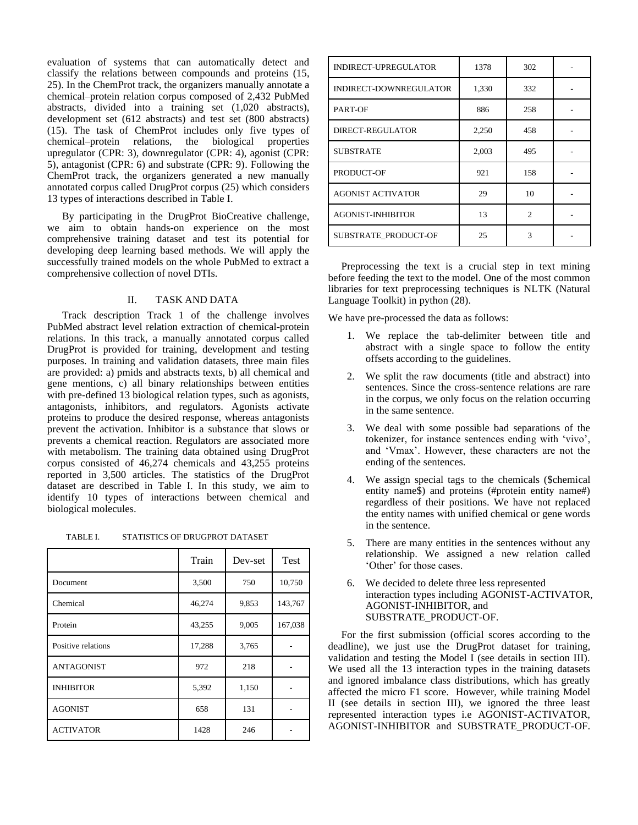evaluation of systems that can automatically detect and classify the relations between compounds and proteins (15, 25). In the ChemProt track, the organizers manually annotate a chemical–protein relation corpus composed of 2,432 PubMed abstracts, divided into a training set (1,020 abstracts), development set (612 abstracts) and test set (800 abstracts) (15). The task of ChemProt includes only five types of chemical–protein relations, the biological properties upregulator (CPR: 3), downregulator (CPR: 4), agonist (CPR: 5), antagonist (CPR: 6) and substrate (CPR: 9). Following the ChemProt track, the organizers generated a new manually annotated corpus called DrugProt corpus (25) which considers 13 types of interactions described in Table I.

By participating in the DrugProt BioCreative challenge, we aim to obtain hands-on experience on the most comprehensive training dataset and test its potential for developing deep learning based methods. We will apply the successfully trained models on the whole PubMed to extract a comprehensive collection of novel DTIs.

## II. TASK AND DATA

Track description Track 1 of the challenge involves PubMed abstract level relation extraction of chemical-protein relations. In this track, a manually annotated corpus called DrugProt is provided for training, development and testing purposes. In training and validation datasets, three main files are provided: a) pmids and abstracts texts, b) all chemical and gene mentions, c) all binary relationships between entities with pre-defined 13 biological relation types, such as agonists, antagonists, inhibitors, and regulators. Agonists activate proteins to produce the desired response, whereas antagonists prevent the activation. Inhibitor is a substance that slows or prevents a chemical reaction. Regulators are associated more with metabolism. The training data obtained using DrugProt corpus consisted of 46,274 chemicals and 43,255 proteins reported in 3,500 articles. The statistics of the DrugProt dataset are described in Table I. In this study, we aim to identify 10 types of interactions between chemical and biological molecules.

TABLE I. STATISTICS OF DRUGPROT DATASET

|                    | Train  | Dev-set | Test    |  |
|--------------------|--------|---------|---------|--|
| Document           | 3,500  | 750     | 10,750  |  |
| Chemical           | 46,274 | 9,853   | 143,767 |  |
| Protein            | 43,255 | 9,005   | 167,038 |  |
| Positive relations | 17,288 | 3,765   |         |  |
| <b>ANTAGONIST</b>  | 972    | 218     |         |  |
| <b>INHIBITOR</b>   | 5,392  | 1,150   |         |  |
| <b>AGONIST</b>     | 658    | 131     |         |  |
| <b>ACTIVATOR</b>   | 1428   | 246     |         |  |

| INDIRECT-UPREGULATOR     | 1378  | 302            |  |
|--------------------------|-------|----------------|--|
| INDIRECT-DOWNREGULATOR   | 1,330 | 332            |  |
| PART-OF                  | 886   | 258            |  |
| DIRECT-REGULATOR         | 2,250 | 458            |  |
| <b>SUBSTRATE</b>         | 2,003 | 495            |  |
| PRODUCT-OF               | 921   | 158            |  |
| <b>AGONIST ACTIVATOR</b> | 29    | 10             |  |
| <b>AGONIST-INHIBITOR</b> | 13    | $\mathfrak{D}$ |  |
| SUBSTRATE PRODUCT-OF     | 25    | $\mathbf{3}$   |  |

 Preprocessing the text is a crucial step in text mining before feeding the text to the model. One of the most common libraries for text preprocessing techniques is NLTK (Natural Language Toolkit) in python (28).

We have pre-processed the data as follows:

- 1. We replace the tab-delimiter between title and abstract with a single space to follow the entity offsets according to the guidelines.
- 2. We split the raw documents (title and abstract) into sentences. Since the cross-sentence relations are rare in the corpus, we only focus on the relation occurring in the same sentence.
- 3. We deal with some possible bad separations of the tokenizer, for instance sentences ending with 'vivo', and 'Vmax'. However, these characters are not the ending of the sentences.
- 4. We assign special tags to the chemicals (\$chemical entity name\$) and proteins (#protein entity name#) regardless of their positions. We have not replaced the entity names with unified chemical or gene words in the sentence.
- 5. There are many entities in the sentences without any relationship. We assigned a new relation called 'Other' for those cases.
- 6. We decided to delete three less represented interaction types including AGONIST-ACTIVATOR, AGONIST-INHIBITOR, and SUBSTRATE\_PRODUCT-OF.

 For the first submission (official scores according to the deadline), we just use the DrugProt dataset for training, validation and testing the Model I (see details in section III). We used all the 13 interaction types in the training datasets and ignored imbalance class distributions, which has greatly affected the micro F1 score. However, while training Model II (see details in section III), we ignored the three least represented interaction types i.e AGONIST-ACTIVATOR, AGONIST-INHIBITOR and SUBSTRATE\_PRODUCT-OF.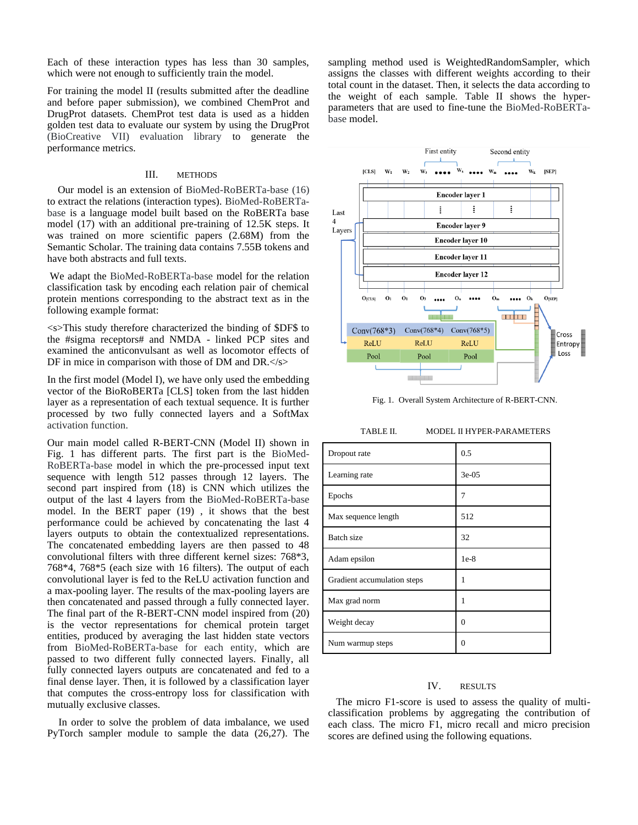Each of these interaction types has less than 30 samples, which were not enough to sufficiently train the model.

For training the model II (results submitted after the deadline and before paper submission), we combined ChemProt and DrugProt datasets. ChemProt test data is used as a hidden golden test data to evaluate our system by using the DrugProt (BioCreative VII) evaluation library to generate the performance metrics.

#### III. METHODS

 Our model is an extension of BioMed-RoBERTa-base (16) to extract the relations (interaction types). BioMed-RoBERTabase is a language model built based on the RoBERTa base model (17) with an additional pre-training of 12.5K steps. It was trained on more scientific papers (2.68M) from the Semantic Scholar. The training data contains 7.55B tokens and have both abstracts and full texts.

We adapt the BioMed-RoBERTa-base model for the relation classification task by encoding each relation pair of chemical protein mentions corresponding to the abstract text as in the following example format:

<s>This study therefore characterized the binding of \$DF\$ to the #sigma receptors# and NMDA - linked PCP sites and examined the anticonvulsant as well as locomotor effects of DF in mice in comparison with those of DM and DR.</s>

In the first model (Model I), we have only used the embedding vector of the BioRoBERTa [CLS] token from the last hidden layer as a representation of each textual sequence. It is further processed by two fully connected layers and a SoftMax activation function.

Our main model called R-BERT-CNN (Model II) shown in Fig. 1 has different parts. The first part is the BioMed-RoBERTa-base model in which the pre-processed input text sequence with length 512 passes through 12 layers. The second part inspired from (18) is CNN which utilizes the output of the last 4 layers from the BioMed-RoBERTa-base model. In the BERT paper (19) , it shows that the best performance could be achieved by concatenating the last 4 layers outputs to obtain the contextualized representations. The concatenated embedding layers are then passed to 48 convolutional filters with three different kernel sizes: 768\*3, 768\*4, 768\*5 (each size with 16 filters). The output of each convolutional layer is fed to the ReLU activation function and a max-pooling layer. The results of the max-pooling layers are then concatenated and passed through a fully connected layer. The final part of the R-BERT-CNN model inspired from (20) is the vector representations for chemical protein target entities, produced by averaging the last hidden state vectors from BioMed-RoBERTa-base for each entity, which are passed to two different fully connected layers. Finally, all fully connected layers outputs are concatenated and fed to a final dense layer. Then, it is followed by a classification layer that computes the cross-entropy loss for classification with mutually exclusive classes.

In order to solve the problem of data imbalance, we used PyTorch sampler module to sample the data (26,27). The sampling method used is WeightedRandomSampler, which assigns the classes with different weights according to their total count in the dataset. Then, it selects the data according to the weight of each sample. Table II shows the hyperparameters that are used to fine-tune the BioMed-RoBERTabase model.



Fig. 1. Overall System Architecture of R-BERT-CNN.

| TABLE II. | <b>MODEL II HYPER-PARAMETERS</b> |
|-----------|----------------------------------|
|           |                                  |

| Dropout rate                | 0.5      |
|-----------------------------|----------|
| Learning rate               | $3e-05$  |
| Epochs                      | 7        |
| Max sequence length         | 512      |
| <b>Batch</b> size           | 32       |
| Adam epsilon                | $1e-8$   |
| Gradient accumulation steps | 1        |
| Max grad norm               | 1        |
| Weight decay                | $\theta$ |
| Num warmup steps            | $\Omega$ |

# IV. RESULTS

 The micro F1-score is used to assess the quality of multiclassification problems by aggregating the contribution of each class. The micro F1, micro recall and micro precision scores are defined using the following equations.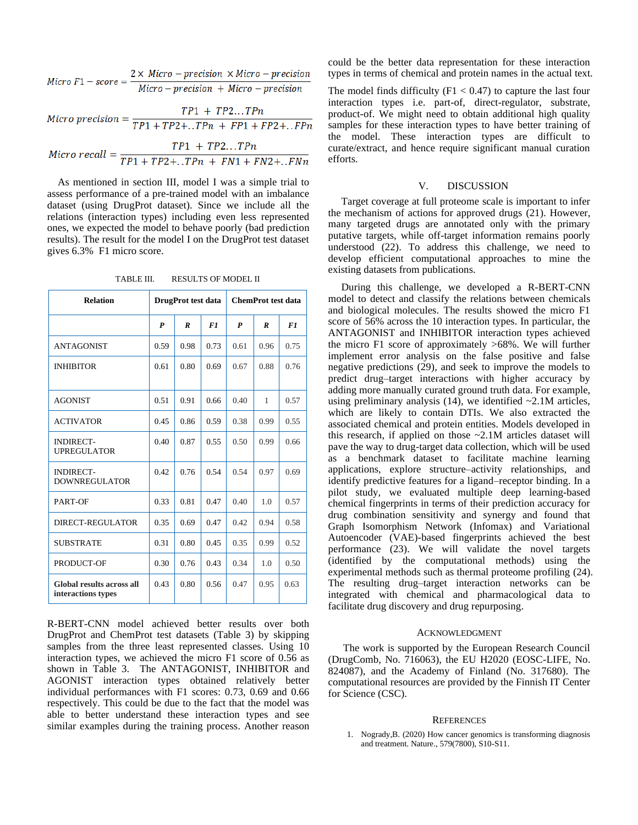$$
Micro F1-score = \frac{2 \times Micro-precision \times Micro-precision}{Micro-precision + Micro-precision}
$$

$$
Micro\, precision = \frac{TP1 + TP2...TPn}{TP1 + TP2 + ..TPn + FP1 + FP2 + ..FPn}
$$

$$
Micro\ recall = \frac{IP1 + IP2...IPn}{TP1 + TP2 + ..TPn + FN1 + FN2 + ..FNn}
$$

 As mentioned in section III, model I was a simple trial to assess performance of a pre-trained model with an imbalance dataset (using DrugProt dataset). Since we include all the relations (interaction types) including even less represented ones, we expected the model to behave poorly (bad prediction results). The result for the model I on the DrugProt test dataset gives 6.3% F1 micro score.

TABLE III. RESULTS OF MODEL II

| <b>Relation</b>                                 | DrugProt test data |                  |      | <b>ChemProt test data</b> |                  |      |
|-------------------------------------------------|--------------------|------------------|------|---------------------------|------------------|------|
|                                                 | $\boldsymbol{P}$   | $\boldsymbol{R}$ | F1   | $\boldsymbol{P}$          | $\boldsymbol{R}$ | F1   |
| <b>ANTAGONIST</b>                               | 0.59               | 0.98             | 0.73 | 0.61                      | 0.96             | 0.75 |
| <b>INHIBITOR</b>                                | 0.61               | 0.80             | 0.69 | 0.67                      | 0.88             | 0.76 |
| <b>AGONIST</b>                                  | 0.51               | 0.91             | 0.66 | 0.40                      | $\mathbf{1}$     | 0.57 |
| <b>ACTIVATOR</b>                                | 0.45               | 0.86             | 0.59 | 0.38                      | 0.99             | 0.55 |
| <b>INDIRECT-</b><br><b>UPREGULATOR</b>          | 0.40               | 0.87             | 0.55 | 0.50                      | 0.99             | 0.66 |
| <b>INDIRECT-</b><br><b>DOWNREGULATOR</b>        | 0.42               | 0.76             | 0.54 | 0.54                      | 0.97             | 0.69 |
| PART-OF                                         | 0.33               | 0.81             | 0.47 | 0.40                      | 1.0              | 0.57 |
| DIRECT-REGULATOR                                | 0.35               | 0.69             | 0.47 | 0.42                      | 0.94             | 0.58 |
| <b>SUBSTRATE</b>                                | 0.31               | 0.80             | 0.45 | 0.35                      | 0.99             | 0.52 |
| PRODUCT-OF                                      | 0.30               | 0.76             | 0.43 | 0.34                      | 1.0              | 0.50 |
| Global results across all<br>interactions types | 0.43               | 0.80             | 0.56 | 0.47                      | 0.95             | 0.63 |

R-BERT-CNN model achieved better results over both DrugProt and ChemProt test datasets (Table 3) by skipping samples from the three least represented classes. Using 10 interaction types, we achieved the micro F1 score of 0.56 as shown in Table 3. The ANTAGONIST, INHIBITOR and AGONIST interaction types obtained relatively better individual performances with F1 scores: 0.73, 0.69 and 0.66 respectively. This could be due to the fact that the model was able to better understand these interaction types and see similar examples during the training process. Another reason

could be the better data representation for these interaction types in terms of chemical and protein names in the actual text.

The model finds difficulty  $(F1 < 0.47)$  to capture the last four interaction types i.e. part-of, direct-regulator, substrate, product-of. We might need to obtain additional high quality samples for these interaction types to have better training of the model. These interaction types are difficult to curate/extract, and hence require significant manual curation efforts.

## V. DISCUSSION

 Target coverage at full proteome scale is important to infer the mechanism of actions for approved drugs (21). However, many targeted drugs are annotated only with the primary putative targets, while off-target information remains poorly understood (22). To address this challenge, we need to develop efficient computational approaches to mine the existing datasets from publications.

 During this challenge, we developed a R-BERT-CNN model to detect and classify the relations between chemicals and biological molecules. The results showed the micro F1 score of 56% across the 10 interaction types. In particular, the ANTAGONIST and INHIBITOR interaction types achieved the micro F1 score of approximately >68%. We will further implement error analysis on the false positive and false negative predictions (29), and seek to improve the models to predict drug–target interactions with higher accuracy by adding more manually curated ground truth data. For example, using preliminary analysis  $(14)$ , we identified  $\sim$ 2.1M articles, which are likely to contain DTIs. We also extracted the associated chemical and protein entities. Models developed in this research, if applied on those ~2.1M articles dataset will pave the way to drug-target data collection, which will be used as a benchmark dataset to facilitate machine learning applications, explore structure–activity relationships, and identify predictive features for a ligand–receptor binding. In a pilot study, we evaluated multiple deep learning-based chemical fingerprints in terms of their prediction accuracy for drug combination sensitivity and synergy and found that Graph Isomorphism Network (Infomax) and Variational Autoencoder (VAE)-based fingerprints achieved the best performance (23). We will validate the novel targets (identified by the computational methods) using the experimental methods such as thermal proteome profiling (24). The resulting drug–target interaction networks can be integrated with chemical and pharmacological data to facilitate drug discovery and drug repurposing.

## ACKNOWLEDGMENT

The work is supported by the European Research Council (DrugComb, No. 716063), the EU H2020 (EOSC-LIFE, No. 824087), and the Academy of Finland (No. 317680). The computational resources are provided by the Finnish IT Center for Science (CSC).

## **REFERENCES**

1. Nogrady,B. (2020) How cancer genomics is transforming diagnosis and treatment. Nature., 579(7800), S10-S11.